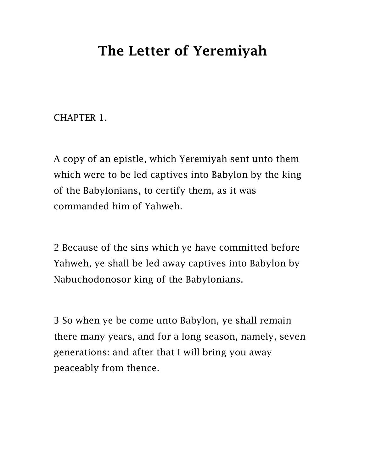## The Letter of Yeremiyah

CHAPTER 1.

A copy of an epistle, which Yeremiyah sent unto them which were to be led captives into Babylon by the king of the Babylonians, to certify them, as it was commanded him of Yahweh.

2 Because of the sins which ye have committed before Yahweh, ye shall be led away captives into Babylon by Nabuchodonosor king of the Babylonians.

3 So when ye be come unto Babylon, ye shall remain there many years, and for a long season, namely, seven generations: and after that I will bring you away peaceably from thence.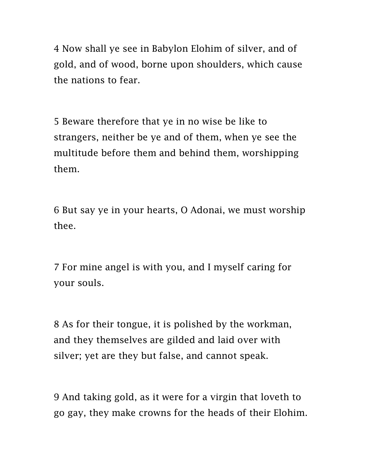4 Now shall ye see in Babylon Elohim of silver, and of gold, and of wood, borne upon shoulders, which cause the nations to fear.

5 Beware therefore that ye in no wise be like to strangers, neither be ye and of them, when ye see the multitude before them and behind them, worshipping them.

6 But say ye in your hearts, O Adonai, we must worship thee.

7 For mine angel is with you, and I myself caring for your souls.

8 As for their tongue, it is polished by the workman, and they themselves are gilded and laid over with silver; yet are they but false, and cannot speak.

9 And taking gold, as it were for a virgin that loveth to go gay, they make crowns for the heads of their Elohim.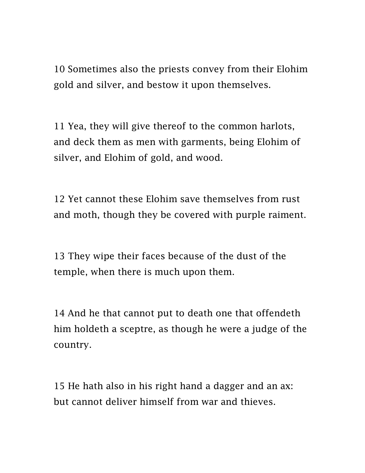10 Sometimes also the priests convey from their Elohim gold and silver, and bestow it upon themselves.

11 Yea, they will give thereof to the common harlots, and deck them as men with garments, being Elohim of silver, and Elohim of gold, and wood.

12 Yet cannot these Elohim save themselves from rust and moth, though they be covered with purple raiment.

13 They wipe their faces because of the dust of the temple, when there is much upon them.

14 And he that cannot put to death one that offendeth him holdeth a sceptre, as though he were a judge of the country.

15 He hath also in his right hand a dagger and an ax: but cannot deliver himself from war and thieves.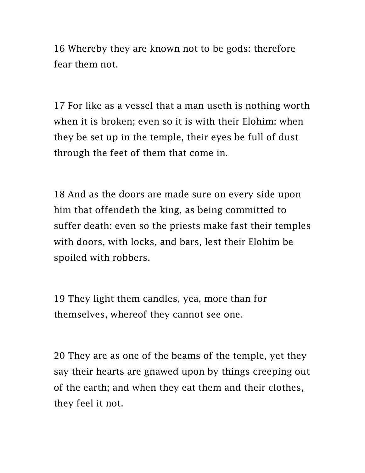16 Whereby they are known not to be gods: therefore fear them not.

17 For like as a vessel that a man useth is nothing worth when it is broken; even so it is with their Elohim: when they be set up in the temple, their eyes be full of dust through the feet of them that come in.

18 And as the doors are made sure on every side upon him that offendeth the king, as being committed to suffer death: even so the priests make fast their temples with doors, with locks, and bars, lest their Elohim be spoiled with robbers.

19 They light them candles, yea, more than for themselves, whereof they cannot see one.

20 They are as one of the beams of the temple, yet they say their hearts are gnawed upon by things creeping out of the earth; and when they eat them and their clothes, they feel it not.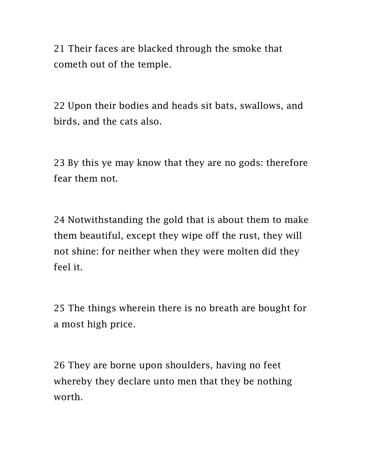21 Their faces are blacked through the smoke that cometh out of the temple.

22 Upon their bodies and heads sit bats, swallows, and birds, and the cats also.

23 By this ye may know that they are no gods: therefore fear them not.

24 Notwithstanding the gold that is about them to make them beautiful, except they wipe off the rust, they will not shine: for neither when they were molten did they feel it.

25 The things wherein there is no breath are bought for a most high price.

26 They are borne upon shoulders, having no feet whereby they declare unto men that they be nothing worth.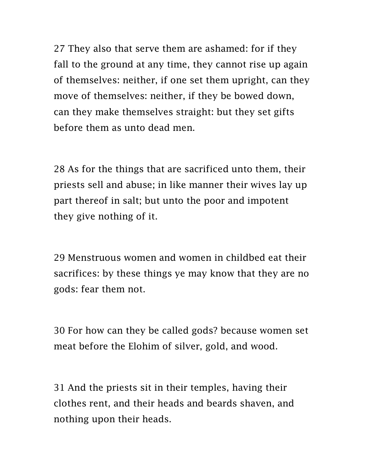27 They also that serve them are ashamed: for if they fall to the ground at any time, they cannot rise up again of themselves: neither, if one set them upright, can they move of themselves: neither, if they be bowed down, can they make themselves straight: but they set gifts before them as unto dead men.

28 As for the things that are sacrificed unto them, their priests sell and abuse; in like manner their wives lay up part thereof in salt; but unto the poor and impotent they give nothing of it.

29 Menstruous women and women in childbed eat their sacrifices: by these things ye may know that they are no gods: fear them not.

30 For how can they be called gods? because women set meat before the Elohim of silver, gold, and wood.

31 And the priests sit in their temples, having their clothes rent, and their heads and beards shaven, and nothing upon their heads.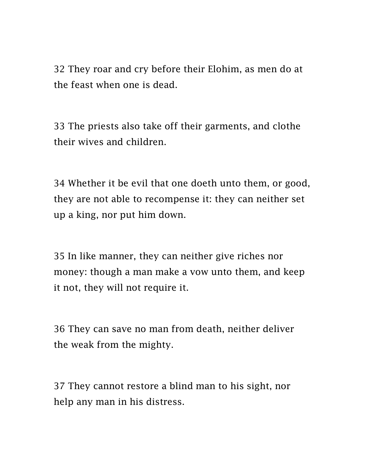32 They roar and cry before their Elohim, as men do at the feast when one is dead.

33 The priests also take off their garments, and clothe their wives and children.

34 Whether it be evil that one doeth unto them, or good, they are not able to recompense it: they can neither set up a king, nor put him down.

35 In like manner, they can neither give riches nor money: though a man make a vow unto them, and keep it not, they will not require it.

36 They can save no man from death, neither deliver the weak from the mighty.

37 They cannot restore a blind man to his sight, nor help any man in his distress.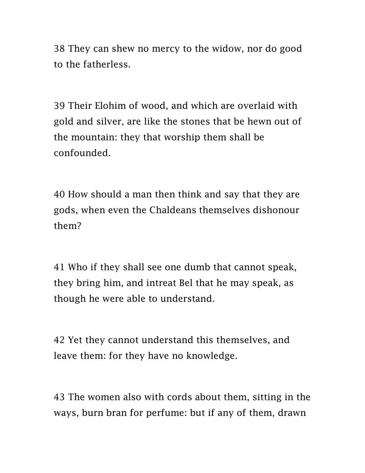38 They can shew no mercy to the widow, nor do good to the fatherless.

39 Their Elohim of wood, and which are overlaid with gold and silver, are like the stones that be hewn out of the mountain: they that worship them shall be confounded.

40 How should a man then think and say that they are gods, when even the Chaldeans themselves dishonour them?

41 Who if they shall see one dumb that cannot speak, they bring him, and intreat Bel that he may speak, as though he were able to understand.

42 Yet they cannot understand this themselves, and leave them: for they have no knowledge.

43 The women also with cords about them, sitting in the ways, burn bran for perfume: but if any of them, drawn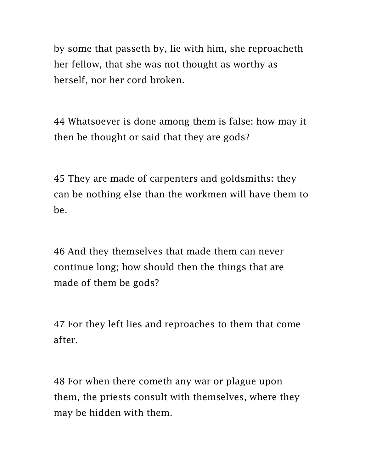by some that passeth by, lie with him, she reproacheth her fellow, that she was not thought as worthy as herself, nor her cord broken.

44 Whatsoever is done among them is false: how may it then be thought or said that they are gods?

45 They are made of carpenters and goldsmiths: they can be nothing else than the workmen will have them to be.

46 And they themselves that made them can never continue long; how should then the things that are made of them be gods?

47 For they left lies and reproaches to them that come after.

48 For when there cometh any war or plague upon them, the priests consult with themselves, where they may be hidden with them.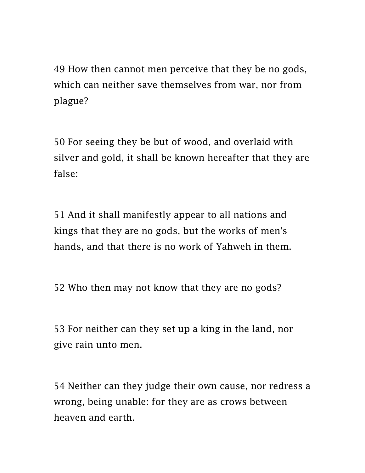49 How then cannot men perceive that they be no gods, which can neither save themselves from war, nor from plague?

50 For seeing they be but of wood, and overlaid with silver and gold, it shall be known hereafter that they are false:

51 And it shall manifestly appear to all nations and kings that they are no gods, but the works of men's hands, and that there is no work of Yahweh in them.

52 Who then may not know that they are no gods?

53 For neither can they set up a king in the land, nor give rain unto men.

54 Neither can they judge their own cause, nor redress a wrong, being unable: for they are as crows between heaven and earth.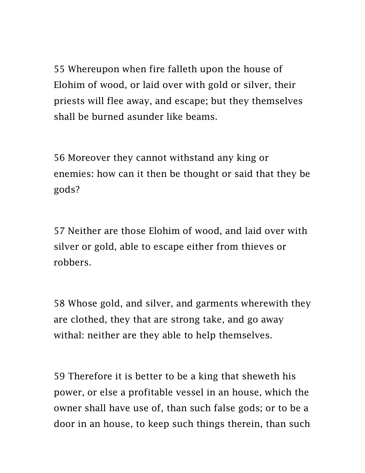55 Whereupon when fire falleth upon the house of Elohim of wood, or laid over with gold or silver, their priests will flee away, and escape; but they themselves shall be burned asunder like beams.

56 Moreover they cannot withstand any king or enemies: how can it then be thought or said that they be gods?

57 Neither are those Elohim of wood, and laid over with silver or gold, able to escape either from thieves or robbers.

58 Whose gold, and silver, and garments wherewith they are clothed, they that are strong take, and go away withal: neither are they able to help themselves.

59 Therefore it is better to be a king that sheweth his power, or else a profitable vessel in an house, which the owner shall have use of, than such false gods; or to be a door in an house, to keep such things therein, than such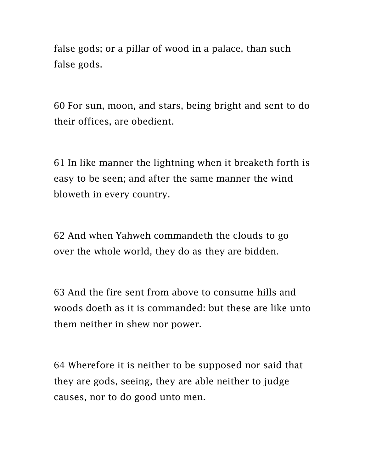false gods; or a pillar of wood in a palace, than such false gods.

60 For sun, moon, and stars, being bright and sent to do their offices, are obedient.

61 In like manner the lightning when it breaketh forth is easy to be seen; and after the same manner the wind bloweth in every country.

62 And when Yahweh commandeth the clouds to go over the whole world, they do as they are bidden.

63 And the fire sent from above to consume hills and woods doeth as it is commanded: but these are like unto them neither in shew nor power.

64 Wherefore it is neither to be supposed nor said that they are gods, seeing, they are able neither to judge causes, nor to do good unto men.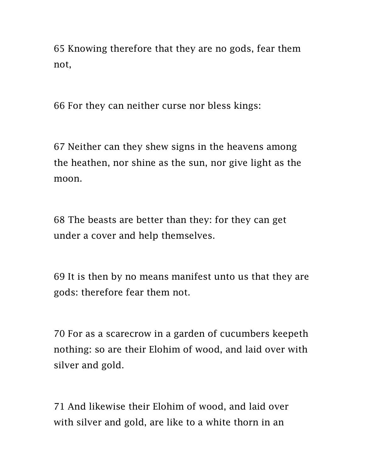65 Knowing therefore that they are no gods, fear them not,

66 For they can neither curse nor bless kings:

67 Neither can they shew signs in the heavens among the heathen, nor shine as the sun, nor give light as the moon.

68 The beasts are better than they: for they can get under a cover and help themselves.

69 It is then by no means manifest unto us that they are gods: therefore fear them not.

70 For as a scarecrow in a garden of cucumbers keepeth nothing: so are their Elohim of wood, and laid over with silver and gold.

71 And likewise their Elohim of wood, and laid over with silver and gold, are like to a white thorn in an